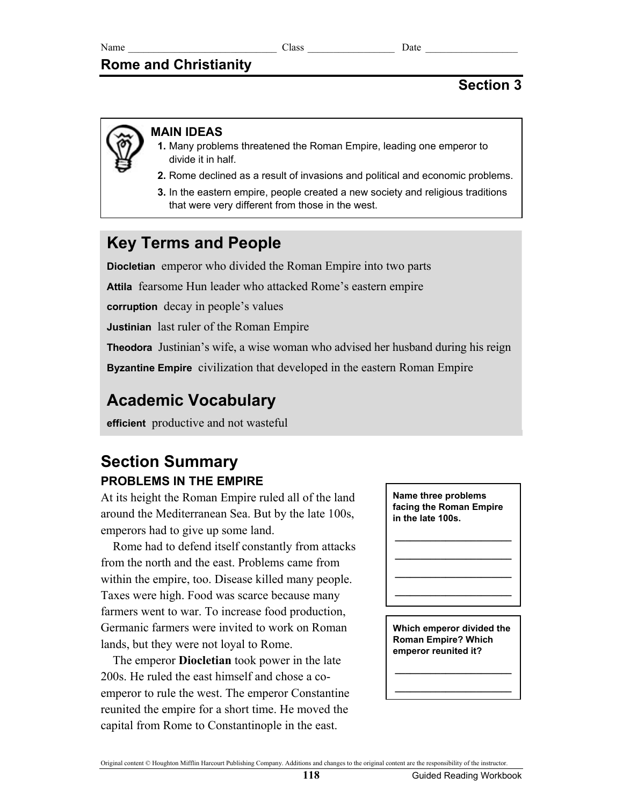## **Rome and Christianity**

## **Section 3**

## **MAIN IDEAS**

- **1.** Many problems threatened the Roman Empire, leading one emperor to divide it in half.
- **2.** Rome declined as a result of invasions and political and economic problems.
- **3.** In the eastern empire, people created a new society and religious traditions that were very different from those in the west.

# **Key Terms and People**

**Diocletian** emperor who divided the Roman Empire into two parts **Attila** fearsome Hun leader who attacked Rome's eastern empire **corruption** decay in people's values **Justinian** last ruler of the Roman Empire **Theodora** Justinian's wife, a wise woman who advised her husband during his reign **Byzantine Empire** civilization that developed in the eastern Roman Empire

# **Academic Vocabulary**

**efficient** productive and not wasteful

## **Section Summary PROBLEMS IN THE EMPIRE**

At its height the Roman Empire ruled all of the land around the Mediterranean Sea. But by the late 100s, emperors had to give up some land.

Rome had to defend itself constantly from attacks from the north and the east. Problems came from within the empire, too. Disease killed many people. Taxes were high. Food was scarce because many farmers went to war. To increase food production, Germanic farmers were invited to work on Roman lands, but they were not loyal to Rome.

The emperor **Diocletian** took power in the late 200s. He ruled the east himself and chose a coemperor to rule the west. The emperor Constantine reunited the empire for a short time. He moved the capital from Rome to Constantinople in the east.



**\_\_\_\_\_\_\_\_\_\_\_\_\_\_\_\_\_\_\_\_\_\_\_**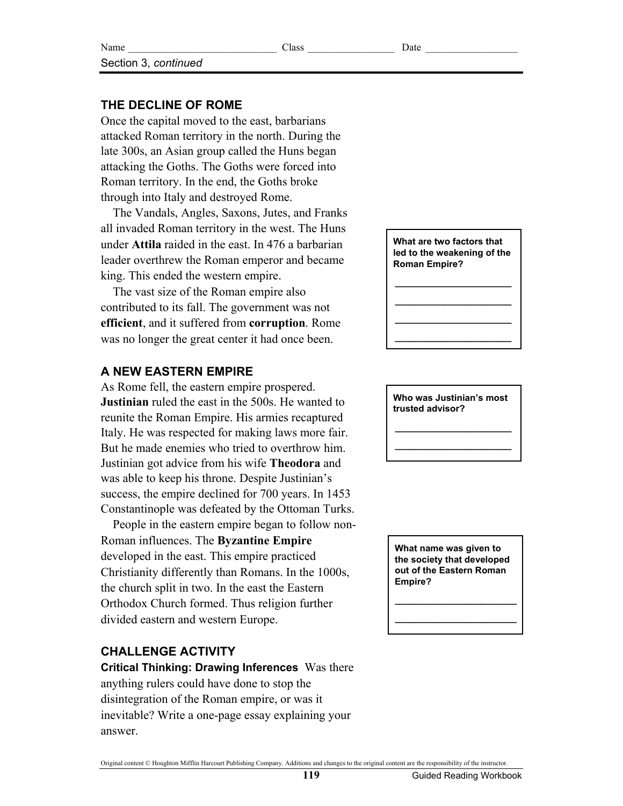## **THE DECLINE OF ROME**

Section 3, *continued*

Once the capital moved to the east, barbarians attacked Roman territory in the north. During the late 300s, an Asian group called the Huns began attacking the Goths. The Goths were forced into Roman territory. In the end, the Goths broke through into Italy and destroyed Rome.

The Vandals, Angles, Saxons, Jutes, and Franks all invaded Roman territory in the west. The Huns under **Attila** raided in the east. In 476 a barbarian leader overthrew the Roman emperor and became king. This ended the western empire.

The vast size of the Roman empire also contributed to its fall. The government was not **efficient**, and it suffered from **corruption**. Rome was no longer the great center it had once been.

### **A NEW EASTERN EMPIRE**

As Rome fell, the eastern empire prospered. **Justinian** ruled the east in the 500s. He wanted to reunite the Roman Empire. His armies recaptured Italy. He was respected for making laws more fair. But he made enemies who tried to overthrow him. Justinian got advice from his wife **Theodora** and was able to keep his throne. Despite Justinian's success, the empire declined for 700 years. In 1453 Constantinople was defeated by the Ottoman Turks.

People in the eastern empire began to follow non-Roman influences. The **Byzantine Empire** developed in the east. This empire practiced Christianity differently than Romans. In the 1000s, the church split in two. In the east the Eastern Orthodox Church formed. Thus religion further divided eastern and western Europe.

## **CHALLENGE ACTIVITY**

**Critical Thinking: Drawing Inferences** Was there anything rulers could have done to stop the disintegration of the Roman empire, or was it inevitable? Write a one-page essay explaining your answer.

**What are two factors that led to the weakening of the Roman Empire?** 

**\_\_\_\_\_\_\_\_\_\_\_\_\_\_\_\_\_\_\_\_\_\_\_ \_\_\_\_\_\_\_\_\_\_\_\_\_\_\_\_\_\_\_\_\_\_\_ \_\_\_\_\_\_\_\_\_\_\_\_\_\_\_\_\_\_\_\_\_\_\_ \_\_\_\_\_\_\_\_\_\_\_\_\_\_\_\_\_\_\_\_\_\_\_**

**Who was Justinian's most trusted advisor?** 

**\_\_\_\_\_\_\_\_\_\_\_\_\_\_\_\_\_\_\_\_\_\_\_ \_\_\_\_\_\_\_\_\_\_\_\_\_\_\_\_\_\_\_\_\_\_\_** 

**What name was given to the society that developed out of the Eastern Roman Empire?** 

**\_\_\_\_\_\_\_\_\_\_\_\_\_\_\_\_\_\_\_\_\_\_\_\_ \_\_\_\_\_\_\_\_\_\_\_\_\_\_\_\_\_\_\_\_\_\_\_\_**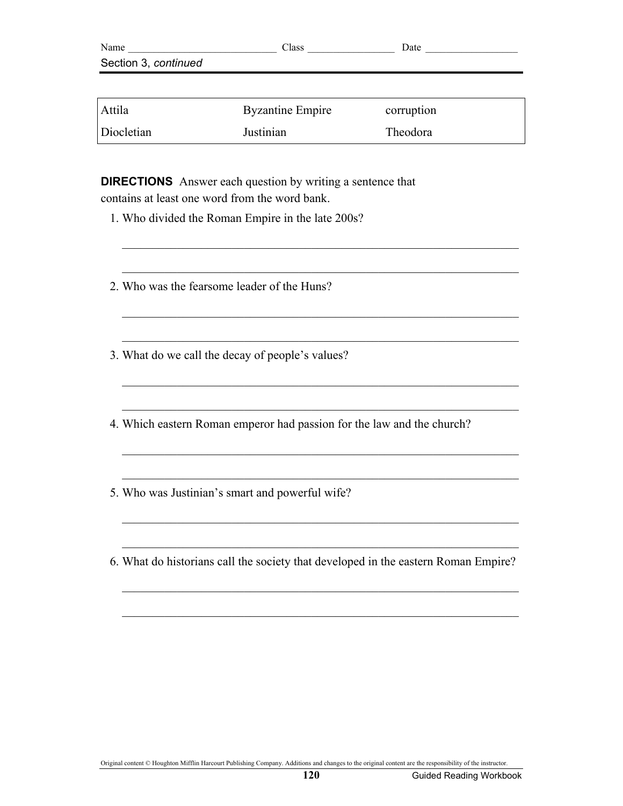| Name                 | Class | Date |
|----------------------|-------|------|
| Section 3, continued |       |      |
|                      |       |      |

| <b>Attila</b> | <b>Byzantine Empire</b> | corruption |
|---------------|-------------------------|------------|
| Diocletian    | Justinian               | Theodora   |

 $\mathcal{L}_\text{max} = \frac{1}{2} \sum_{i=1}^n \mathcal{L}_\text{max}(\mathbf{z}_i - \mathbf{z}_i)$ 

 $\mathcal{L}_\text{max} = \frac{1}{2} \sum_{i=1}^n \mathcal{L}_\text{max}(\mathbf{z}_i - \mathbf{z}_i)$ 

 $\mathcal{L}_\text{max} = \frac{1}{2} \sum_{i=1}^n \mathcal{L}_\text{max}(\mathbf{z}_i - \mathbf{z}_i)$ 

 $\mathcal{L}_\text{max} = \frac{1}{2} \sum_{i=1}^n \mathcal{L}_\text{max}(\mathbf{z}_i - \mathbf{z}_i)$ 

 $\mathcal{L}_\text{max} = \frac{1}{2} \sum_{i=1}^n \mathcal{L}_\text{max}(\mathbf{z}_i - \mathbf{z}_i)$ 

 $\mathcal{L}_\text{max} = \frac{1}{2} \sum_{i=1}^n \mathcal{L}_\text{max}(\mathbf{z}_i - \mathbf{z}_i)$ 

 $\mathcal{L}_\text{max} = \frac{1}{2} \sum_{i=1}^n \mathcal{L}_\text{max}(\mathbf{z}_i - \mathbf{z}_i)$ 

 $\mathcal{L}_\text{max} = \frac{1}{2} \sum_{i=1}^n \mathcal{L}_\text{max}(\mathbf{z}_i - \mathbf{z}_i)$ 

 $\mathcal{L}_\text{max} = \frac{1}{2} \sum_{i=1}^n \mathcal{L}_\text{max}(\mathbf{z}_i - \mathbf{z}_i)$ 

 $\mathcal{L}_\text{max} = \frac{1}{2} \sum_{i=1}^n \mathcal{L}_\text{max}(\mathbf{z}_i - \mathbf{z}_i)$ 

 $\mathcal{L}_\text{max} = \frac{1}{2} \sum_{i=1}^n \mathcal{L}_\text{max}(\mathbf{z}_i - \mathbf{z}_i)$ 

 $\mathcal{L}_\text{max} = \frac{1}{2} \sum_{i=1}^n \mathcal{L}_\text{max}(\mathbf{z}_i - \mathbf{z}_i)$ 

**DIRECTIONS** Answer each question by writing a sentence that contains at least one word from the word bank.

- 1. Who divided the Roman Empire in the late 200s?
- 2. Who was the fearsome leader of the Huns?
- 3. What do we call the decay of people's values?
- 4. Which eastern Roman emperor had passion for the law and the church?
- 5. Who was Justinian's smart and powerful wife?
- 6. What do historians call the society that developed in the eastern Roman Empire?